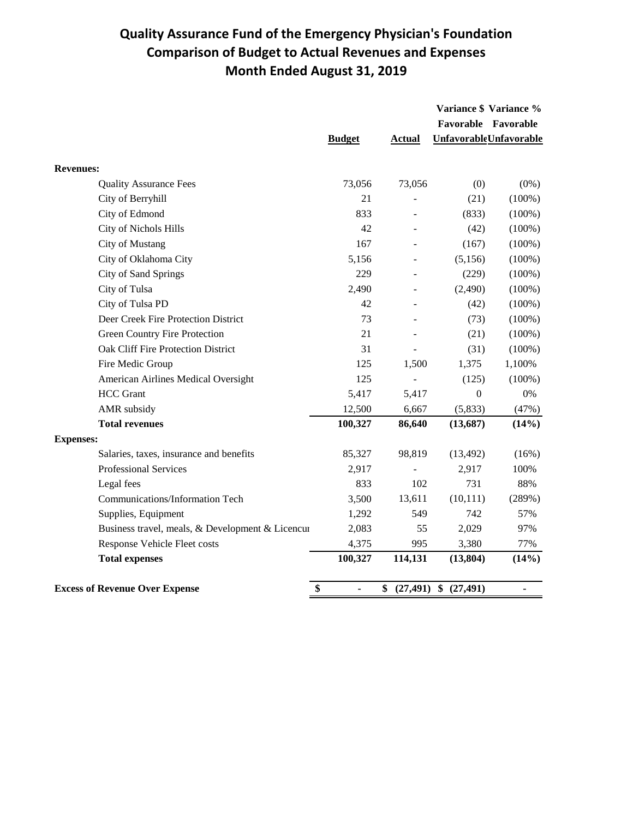## **Quality Assurance Fund of the Emergency Physician's Foundation Comparison of Budget to Actual Revenues and Expenses Month Ended August 31, 2019**

|                                                  |                      |                 |                  | Variance \$ Variance %        |
|--------------------------------------------------|----------------------|-----------------|------------------|-------------------------------|
|                                                  |                      |                 |                  | Favorable Favorable           |
|                                                  | <b>Budget</b>        | <b>Actual</b>   |                  | <b>UnfavorableUnfavorable</b> |
| <b>Revenues:</b>                                 |                      |                 |                  |                               |
| <b>Quality Assurance Fees</b>                    | 73,056               | 73,056          | (0)              | $(0\%)$                       |
| City of Berryhill                                | 21                   |                 | (21)             | $(100\%)$                     |
| City of Edmond                                   | 833                  |                 | (833)            | $(100\%)$                     |
| City of Nichols Hills                            | 42                   |                 | (42)             | $(100\%)$                     |
| City of Mustang                                  | 167                  | ÷               | (167)            | $(100\%)$                     |
| City of Oklahoma City                            | 5,156                |                 | (5,156)          | $(100\%)$                     |
| City of Sand Springs                             | 229                  |                 | (229)            | (100%)                        |
| City of Tulsa                                    | 2,490                |                 | (2,490)          | $(100\%)$                     |
| City of Tulsa PD                                 | 42                   |                 | (42)             | $(100\%)$                     |
| Deer Creek Fire Protection District              | 73                   |                 | (73)             | $(100\%)$                     |
| Green Country Fire Protection                    | 21                   |                 | (21)             | $(100\%)$                     |
| Oak Cliff Fire Protection District               | 31                   |                 | (31)             | $(100\%)$                     |
| Fire Medic Group                                 | 125                  | 1,500           | 1,375            | 1,100%                        |
| American Airlines Medical Oversight              | 125                  |                 | (125)            | $(100\%)$                     |
| <b>HCC</b> Grant                                 | 5,417                | 5,417           | $\boldsymbol{0}$ | $0\%$                         |
| AMR subsidy                                      | 12,500               | 6,667           | (5,833)          | (47%)                         |
| <b>Total revenues</b>                            | 100,327              | 86,640          | (13,687)         | (14%)                         |
| <b>Expenses:</b>                                 |                      |                 |                  |                               |
| Salaries, taxes, insurance and benefits          | 85,327               | 98,819          | (13, 492)        | (16%)                         |
| <b>Professional Services</b>                     | 2,917                |                 | 2,917            | 100%                          |
| Legal fees                                       | 833                  | 102             | 731              | 88%                           |
| Communications/Information Tech                  | 3,500                | 13,611          | (10, 111)        | (289%)                        |
| Supplies, Equipment                              | 1,292                | 549             | 742              | 57%                           |
| Business travel, meals, & Development & Licencur | 2,083                | 55              | 2,029            | 97%                           |
| <b>Response Vehicle Fleet costs</b>              | 4,375                | 995             | 3,380            | 77%                           |
| <b>Total expenses</b>                            | 100,327              | 114,131         | (13, 804)        | (14%)                         |
| <b>Excess of Revenue Over Expense</b>            | \$<br>$\blacksquare$ | (27, 491)<br>\$ | \$<br>(27, 491)  | $\blacksquare$                |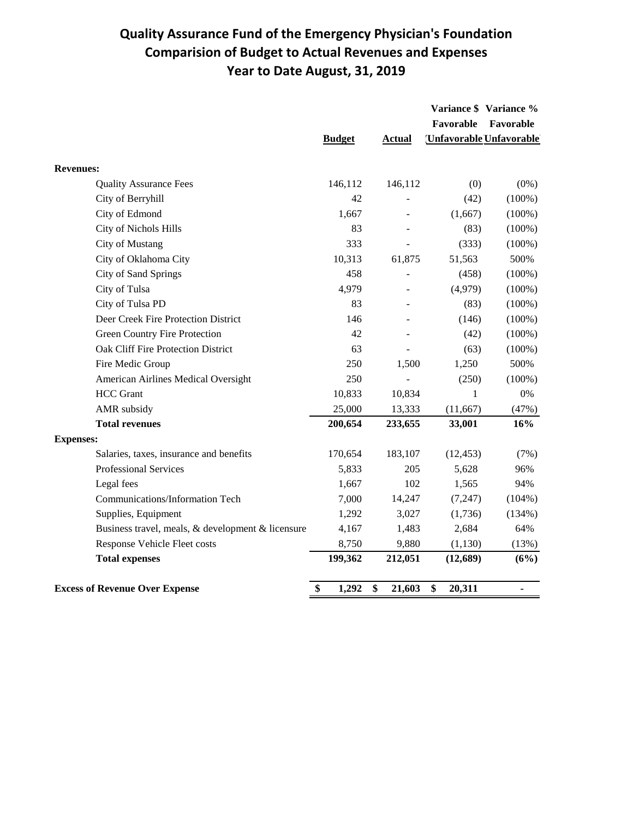## **Quality Assurance Fund of the Emergency Physician's Foundation Comparision of Budget to Actual Revenues and Expenses Year to Date August, 31, 2019**

|                                                   |               |               | Favorable    | Variance \$ Variance %<br>Favorable |
|---------------------------------------------------|---------------|---------------|--------------|-------------------------------------|
|                                                   | <b>Budget</b> | <b>Actual</b> |              | Unfavorable Unfavorable             |
| <b>Revenues:</b>                                  |               |               |              |                                     |
| <b>Quality Assurance Fees</b>                     | 146,112       | 146,112       | (0)          | $(0\%)$                             |
| City of Berryhill                                 | 42            |               | (42)         | $(100\%)$                           |
| City of Edmond                                    | 1,667         |               | (1,667)      | $(100\%)$                           |
| City of Nichols Hills                             | 83            |               | (83)         | $(100\%)$                           |
| City of Mustang                                   | 333           |               | (333)        | $(100\%)$                           |
| City of Oklahoma City                             | 10,313        | 61,875        | 51,563       | 500%                                |
| City of Sand Springs                              | 458           |               | (458)        | $(100\%)$                           |
| City of Tulsa                                     | 4,979         |               | (4,979)      | $(100\%)$                           |
| City of Tulsa PD                                  | 83            |               | (83)         | $(100\%)$                           |
| Deer Creek Fire Protection District               | 146           |               | (146)        | $(100\%)$                           |
| Green Country Fire Protection                     | 42            |               | (42)         | $(100\%)$                           |
| Oak Cliff Fire Protection District                | 63            |               | (63)         | $(100\%)$                           |
| Fire Medic Group                                  | 250           | 1,500         | 1,250        | 500%                                |
| American Airlines Medical Oversight               | 250           |               | (250)        | $(100\%)$                           |
| <b>HCC</b> Grant                                  | 10,833        | 10,834        | 1            | $0\%$                               |
| AMR subsidy                                       | 25,000        | 13,333        | (11, 667)    | (47%)                               |
| <b>Total revenues</b>                             | 200,654       | 233,655       | 33,001       | 16%                                 |
| <b>Expenses:</b>                                  |               |               |              |                                     |
| Salaries, taxes, insurance and benefits           | 170,654       | 183,107       | (12, 453)    | (7%)                                |
| Professional Services                             | 5,833         | 205           | 5,628        | 96%                                 |
| Legal fees                                        | 1,667         | 102           | 1,565        | 94%                                 |
| Communications/Information Tech                   | 7,000         | 14,247        | (7, 247)     | $(104\%)$                           |
| Supplies, Equipment                               | 1,292         | 3,027         | (1,736)      | (134%)                              |
| Business travel, meals, & development & licensure | 4,167         | 1,483         | 2,684        | 64%                                 |
| <b>Response Vehicle Fleet costs</b>               | 8,750         | 9,880         | (1, 130)     | (13%)                               |
| <b>Total expenses</b>                             | 199,362       | 212,051       | (12,689)     | (6%)                                |
| <b>Excess of Revenue Over Expense</b>             | \$<br>1,292   | \$<br>21,603  | \$<br>20,311 |                                     |